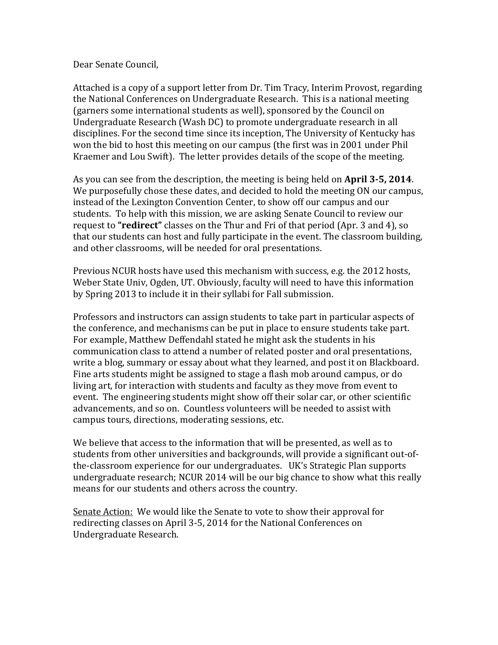## Dear Senate Council,

Attached is a copy of a support letter from Dr. Tim Tracy, Interim Provost, regarding the National Conferences on Undergraduate Research. This is a national meeting (garners some international students as well), sponsored by the Council on Undergraduate Research (Wash DC) to promote undergraduate research in all disciplines. For the second time since its inception, The University of Kentucky has won the bid to host this meeting on our campus (the first was in 2001 under Phil Kraemer and Lou Swift). The letter provides details of the scope of the meeting.

As you can see from the description, the meeting is being held on **April 3-5, 2014**. We purposefully chose these dates, and decided to hold the meeting ON our campus, instead of the Lexington Convention Center, to show off our campus and our students. To help with this mission, we are asking Senate Council to review our request to **"redirect"** classes on the Thur and Fri of that period (Apr. 3 and 4), so that our students can host and fully participate in the event. The classroom building, and other classrooms, will be needed for oral presentations.

Previous NCUR hosts have used this mechanism with success, e.g. the 2012 hosts, Weber State Univ, Ogden, UT. Obviously, faculty will need to have this information by Spring 2013 to include it in their syllabi for Fall submission.

Professors and instructors can assign students to take part in particular aspects of the conference, and mechanisms can be put in place to ensure students take part. For example, Matthew Deffendahl stated he might ask the students in his communication class to attend a number of related poster and oral presentations, write a blog, summary or essay about what they learned, and post it on Blackboard. Fine arts students might be assigned to stage a flash mob around campus, or do living art, for interaction with students and faculty as they move from event to event. The engineering students might show off their solar car, or other scientific advancements, and so on. Countless volunteers will be needed to assist with campus tours, directions, moderating sessions, etc.

We believe that access to the information that will be presented, as well as to students from other universities and backgrounds, will provide a significant out-ofthe-classroom experience for our undergraduates. UK's Strategic Plan supports undergraduate research; NCUR 2014 will be our big chance to show what this really means for our students and others across the country.

Senate Action: We would like the Senate to vote to show their approval for redirecting classes on April 3-5, 2014 for the National Conferences on Undergraduate Research.